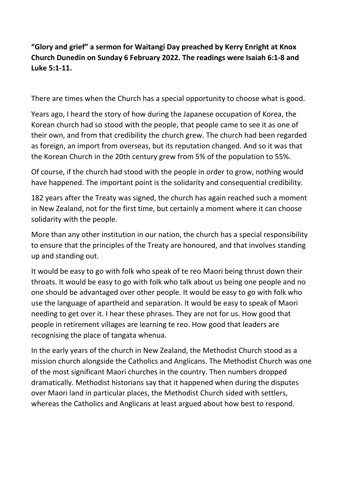## "Glory and grief" a sermon for Waitangi Day preached by Kerry Enright at Knox Church Dunedin on Sunday 6 February 2022. The readings were Isaiah 6:1-8 and Luke 5:1-11.

There are times when the Church has a special opportunity to choose what is good.

Years ago, I heard the story of how during the Japanese occupation of Korea, the Korean church had so stood with the people, that people came to see it as one of their own, and from that credibility the church grew. The church had been regarded as foreign, an import from overseas, but its reputation changed. And so it was that the Korean Church in the 20th century grew from 5% of the population to 55%.

Of course, if the church had stood with the people in order to grow, nothing would have happened. The important point is the solidarity and consequential credibility.

182 years after the Treaty was signed, the church has again reached such a moment in New Zealand, not for the first time, but certainly a moment where it can choose solidarity with the people.

More than any other institution in our nation, the church has a special responsibility to ensure that the principles of the Treaty are honoured, and that involves standing up and standing out.

It would be easy to go with folk who speak of te reo Maori being thrust down their throats. It would be easy to go with folk who talk about us being one people and no one should be advantaged over other people. It would be easy to go with folk who use the language of apartheid and separation. It would be easy to speak of Maori needing to get over it. I hear these phrases. They are not for us. How good that people in retirement villages are learning te reo. How good that leaders are recognising the place of tangata whenua.

In the early years of the church in New Zealand, the Methodist Church stood as a mission church alongside the Catholics and Anglicans. The Methodist Church was one of the most significant Maori churches in the country. Then numbers dropped dramatically. Methodist historians say that it happened when during the disputes over Maori land in particular places, the Methodist Church sided with settlers, whereas the Catholics and Anglicans at least argued about how best to respond.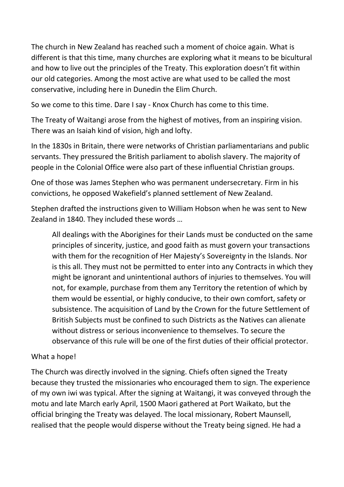The church in New Zealand has reached such a moment of choice again. What is different is that this time, many churches are exploring what it means to be bicultural and how to live out the principles of the Treaty. This exploration doesn't fit within our old categories. Among the most active are what used to be called the most conservative, including here in Dunedin the Elim Church.

So we come to this time. Dare I say - Knox Church has come to this time.

The Treaty of Waitangi arose from the highest of motives, from an inspiring vision. There was an Isaiah kind of vision, high and lofty.

In the 1830s in Britain, there were networks of Christian parliamentarians and public servants. They pressured the British parliament to abolish slavery. The majority of people in the Colonial Office were also part of these influential Christian groups.

One of those was James Stephen who was permanent undersecretary. Firm in his convictions, he opposed Wakefield's planned settlement of New Zealand.

Stephen drafted the instructions given to William Hobson when he was sent to New Zealand in 1840. They included these words …

All dealings with the Aborigines for their Lands must be conducted on the same principles of sincerity, justice, and good faith as must govern your transactions with them for the recognition of Her Majesty's Sovereignty in the Islands. Nor is this all. They must not be permitted to enter into any Contracts in which they might be ignorant and unintentional authors of injuries to themselves. You will not, for example, purchase from them any Territory the retention of which by them would be essential, or highly conducive, to their own comfort, safety or subsistence. The acquisition of Land by the Crown for the future Settlement of British Subjects must be confined to such Districts as the Natives can alienate without distress or serious inconvenience to themselves. To secure the observance of this rule will be one of the first duties of their official protector.

## What a hope!

The Church was directly involved in the signing. Chiefs often signed the Treaty because they trusted the missionaries who encouraged them to sign. The experience of my own iwi was typical. After the signing at Waitangi, it was conveyed through the motu and late March early April, 1500 Maori gathered at Port Waikato, but the official bringing the Treaty was delayed. The local missionary, Robert Maunsell, realised that the people would disperse without the Treaty being signed. He had a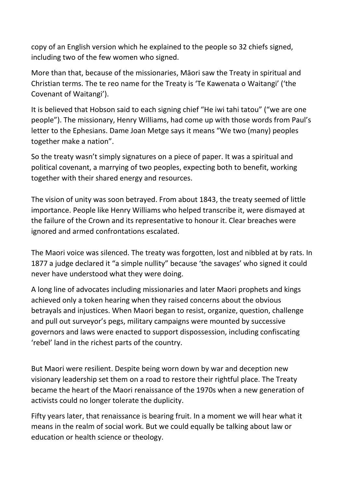copy of an English version which he explained to the people so 32 chiefs signed, including two of the few women who signed.

More than that, because of the missionaries, Māori saw the Treaty in spiritual and Christian terms. The te reo name for the Treaty is 'Te Kawenata o Waitangi' ('the Covenant of Waitangi').

It is believed that Hobson said to each signing chief "He iwi tahi tatou" ("we are one people"). The missionary, Henry Williams, had come up with those words from Paul's letter to the Ephesians. Dame Joan Metge says it means "We two (many) peoples together make a nation".

So the treaty wasn't simply signatures on a piece of paper. It was a spiritual and political covenant, a marrying of two peoples, expecting both to benefit, working together with their shared energy and resources.

The vision of unity was soon betrayed. From about 1843, the treaty seemed of little importance. People like Henry Williams who helped transcribe it, were dismayed at the failure of the Crown and its representative to honour it. Clear breaches were ignored and armed confrontations escalated.

The Maori voice was silenced. The treaty was forgotten, lost and nibbled at by rats. In 1877 a judge declared it "a simple nullity" because 'the savages' who signed it could never have understood what they were doing.

A long line of advocates including missionaries and later Maori prophets and kings achieved only a token hearing when they raised concerns about the obvious betrayals and injustices. When Maori began to resist, organize, question, challenge and pull out surveyor's pegs, military campaigns were mounted by successive governors and laws were enacted to support dispossession, including confiscating 'rebel' land in the richest parts of the country.

But Maori were resilient. Despite being worn down by war and deception new visionary leadership set them on a road to restore their rightful place. The Treaty became the heart of the Maori renaissance of the 1970s when a new generation of activists could no longer tolerate the duplicity.

Fifty years later, that renaissance is bearing fruit. In a moment we will hear what it means in the realm of social work. But we could equally be talking about law or education or health science or theology.